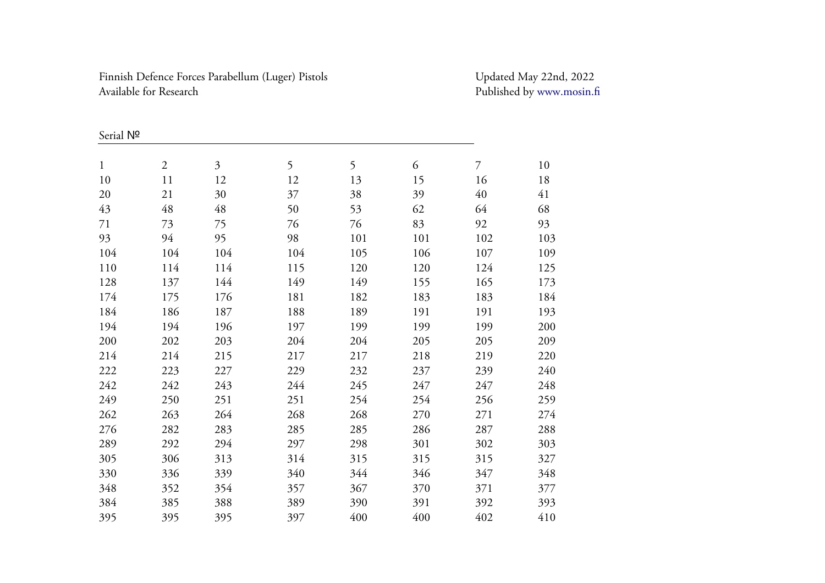Finnish Defence Forces Parabellum (Luger) Pistols Updated May 22nd, 2022 Available for Research

Published by [www.mosin.fi](http://www.mosin.fi/)

| Serial Nº   |                |     |     |     |     |                |     |
|-------------|----------------|-----|-----|-----|-----|----------------|-----|
| $\mathbf 1$ | $\overline{2}$ | 3   | 5   | 5   | 6   | $\overline{7}$ | 10  |
| 10          | 11             | 12  | 12  | 13  | 15  | 16             | 18  |
| 20          | 21             | 30  | 37  | 38  | 39  | 40             | 41  |
| 43          | 48             | 48  | 50  | 53  | 62  | 64             | 68  |
| 71          | 73             | 75  | 76  | 76  | 83  | 92             | 93  |
| 93          | 94             | 95  | 98  | 101 | 101 | 102            | 103 |
| 104         | 104            | 104 | 104 | 105 | 106 | 107            | 109 |
| 110         | 114            | 114 | 115 | 120 | 120 | 124            | 125 |
| 128         | 137            | 144 | 149 | 149 | 155 | 165            | 173 |
| 174         | 175            | 176 | 181 | 182 | 183 | 183            | 184 |
| 184         | 186            | 187 | 188 | 189 | 191 | 191            | 193 |
| 194         | 194            | 196 | 197 | 199 | 199 | 199            | 200 |
| 200         | 202            | 203 | 204 | 204 | 205 | 205            | 209 |
| 214         | 214            | 215 | 217 | 217 | 218 | 219            | 220 |
| 222         | 223            | 227 | 229 | 232 | 237 | 239            | 240 |
| 242         | 242            | 243 | 244 | 245 | 247 | 247            | 248 |
| 249         | 250            | 251 | 251 | 254 | 254 | 256            | 259 |
| 262         | 263            | 264 | 268 | 268 | 270 | 271            | 274 |
| 276         | 282            | 283 | 285 | 285 | 286 | 287            | 288 |
| 289         | 292            | 294 | 297 | 298 | 301 | 302            | 303 |
| 305         | 306            | 313 | 314 | 315 | 315 | 315            | 327 |
| 330         | 336            | 339 | 340 | 344 | 346 | 347            | 348 |
| 348         | 352            | 354 | 357 | 367 | 370 | 371            | 377 |
| 384         | 385            | 388 | 389 | 390 | 391 | 392            | 393 |
| 395         | 395            | 395 | 397 | 400 | 400 | 402            | 410 |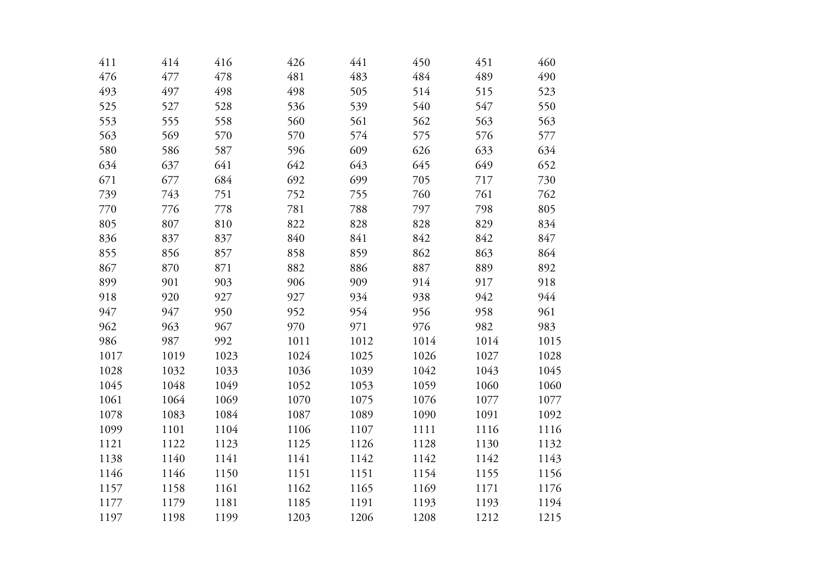| 476<br>477<br>478<br>481<br>483<br>484<br>489<br>497<br>498<br>498<br>514<br>493<br>505<br>515<br>540<br>525<br>527<br>528<br>536<br>539<br>547<br>555<br>558<br>560<br>561<br>562<br>553<br>563<br>569<br>563<br>570<br>570<br>574<br>575<br>576<br>596<br>609<br>626<br>633<br>580<br>586<br>587<br>642<br>645<br>649<br>634<br>637<br>641<br>643<br>684<br>692<br>699<br>671<br>677<br>705<br>717<br>739<br>743<br>751<br>752<br>755<br>760<br>761<br>781<br>797<br>798<br>770<br>776<br>778<br>788<br>805<br>807<br>810<br>822<br>828<br>828<br>829<br>840<br>836<br>837<br>837<br>841<br>842<br>842<br>859<br>862<br>863<br>855<br>856<br>858<br>857<br>867<br>882<br>886<br>887<br>889<br>870<br>871<br>903<br>906<br>914<br>899<br>901<br>909<br>917<br>918<br>920<br>927<br>927<br>934<br>938<br>942<br>947<br>947<br>950<br>954<br>952<br>956<br>958<br>962<br>963<br>967<br>970<br>971<br>976<br>982<br>986<br>987<br>992<br>1011<br>1012<br>1014<br>1014<br>1019<br>1023<br>1024<br>1025<br>1026<br>1027<br>1017<br>1036<br>1042<br>1043<br>1028<br>1032<br>1033<br>1039<br>1048<br>1060<br>1045<br>1049<br>1052<br>1053<br>1059<br>1061<br>1064<br>1069<br>1070<br>1075<br>1076<br>1077<br>1078<br>1083<br>1084<br>1087<br>1089<br>1090<br>1091<br>1099<br>1101<br>1104<br>1106<br>1116<br>1107<br>1111<br>1121<br>1122<br>1123<br>1125<br>1126<br>1128<br>1130<br>1140<br>1141<br>1141<br>1142<br>1142<br>1142<br>1138<br>1146<br>1146<br>1150<br>1151<br>1151<br>1154<br>1155<br>1162<br>1165<br>1169<br>1157<br>1158<br>1161<br>1171<br>1177<br>1181<br>1185<br>1191<br>1193<br>1193<br>1179<br>1203<br>1206<br>1208<br>1212<br>1197<br>1198<br>1199 | 411 | 414 | 416 | 426 | 441 | 450 | 451 | 460  |
|---------------------------------------------------------------------------------------------------------------------------------------------------------------------------------------------------------------------------------------------------------------------------------------------------------------------------------------------------------------------------------------------------------------------------------------------------------------------------------------------------------------------------------------------------------------------------------------------------------------------------------------------------------------------------------------------------------------------------------------------------------------------------------------------------------------------------------------------------------------------------------------------------------------------------------------------------------------------------------------------------------------------------------------------------------------------------------------------------------------------------------------------------------------------------------------------------------------------------------------------------------------------------------------------------------------------------------------------------------------------------------------------------------------------------------------------------------------------------------------------------------------------------------------------------------------------------------------------------------------------------------------------------------------------|-----|-----|-----|-----|-----|-----|-----|------|
|                                                                                                                                                                                                                                                                                                                                                                                                                                                                                                                                                                                                                                                                                                                                                                                                                                                                                                                                                                                                                                                                                                                                                                                                                                                                                                                                                                                                                                                                                                                                                                                                                                                                     |     |     |     |     |     |     |     | 490  |
|                                                                                                                                                                                                                                                                                                                                                                                                                                                                                                                                                                                                                                                                                                                                                                                                                                                                                                                                                                                                                                                                                                                                                                                                                                                                                                                                                                                                                                                                                                                                                                                                                                                                     |     |     |     |     |     |     |     | 523  |
|                                                                                                                                                                                                                                                                                                                                                                                                                                                                                                                                                                                                                                                                                                                                                                                                                                                                                                                                                                                                                                                                                                                                                                                                                                                                                                                                                                                                                                                                                                                                                                                                                                                                     |     |     |     |     |     |     |     | 550  |
|                                                                                                                                                                                                                                                                                                                                                                                                                                                                                                                                                                                                                                                                                                                                                                                                                                                                                                                                                                                                                                                                                                                                                                                                                                                                                                                                                                                                                                                                                                                                                                                                                                                                     |     |     |     |     |     |     |     | 563  |
|                                                                                                                                                                                                                                                                                                                                                                                                                                                                                                                                                                                                                                                                                                                                                                                                                                                                                                                                                                                                                                                                                                                                                                                                                                                                                                                                                                                                                                                                                                                                                                                                                                                                     |     |     |     |     |     |     |     | 577  |
|                                                                                                                                                                                                                                                                                                                                                                                                                                                                                                                                                                                                                                                                                                                                                                                                                                                                                                                                                                                                                                                                                                                                                                                                                                                                                                                                                                                                                                                                                                                                                                                                                                                                     |     |     |     |     |     |     |     | 634  |
|                                                                                                                                                                                                                                                                                                                                                                                                                                                                                                                                                                                                                                                                                                                                                                                                                                                                                                                                                                                                                                                                                                                                                                                                                                                                                                                                                                                                                                                                                                                                                                                                                                                                     |     |     |     |     |     |     |     | 652  |
|                                                                                                                                                                                                                                                                                                                                                                                                                                                                                                                                                                                                                                                                                                                                                                                                                                                                                                                                                                                                                                                                                                                                                                                                                                                                                                                                                                                                                                                                                                                                                                                                                                                                     |     |     |     |     |     |     |     | 730  |
|                                                                                                                                                                                                                                                                                                                                                                                                                                                                                                                                                                                                                                                                                                                                                                                                                                                                                                                                                                                                                                                                                                                                                                                                                                                                                                                                                                                                                                                                                                                                                                                                                                                                     |     |     |     |     |     |     |     | 762  |
|                                                                                                                                                                                                                                                                                                                                                                                                                                                                                                                                                                                                                                                                                                                                                                                                                                                                                                                                                                                                                                                                                                                                                                                                                                                                                                                                                                                                                                                                                                                                                                                                                                                                     |     |     |     |     |     |     |     | 805  |
|                                                                                                                                                                                                                                                                                                                                                                                                                                                                                                                                                                                                                                                                                                                                                                                                                                                                                                                                                                                                                                                                                                                                                                                                                                                                                                                                                                                                                                                                                                                                                                                                                                                                     |     |     |     |     |     |     |     | 834  |
|                                                                                                                                                                                                                                                                                                                                                                                                                                                                                                                                                                                                                                                                                                                                                                                                                                                                                                                                                                                                                                                                                                                                                                                                                                                                                                                                                                                                                                                                                                                                                                                                                                                                     |     |     |     |     |     |     |     | 847  |
|                                                                                                                                                                                                                                                                                                                                                                                                                                                                                                                                                                                                                                                                                                                                                                                                                                                                                                                                                                                                                                                                                                                                                                                                                                                                                                                                                                                                                                                                                                                                                                                                                                                                     |     |     |     |     |     |     |     | 864  |
|                                                                                                                                                                                                                                                                                                                                                                                                                                                                                                                                                                                                                                                                                                                                                                                                                                                                                                                                                                                                                                                                                                                                                                                                                                                                                                                                                                                                                                                                                                                                                                                                                                                                     |     |     |     |     |     |     |     | 892  |
|                                                                                                                                                                                                                                                                                                                                                                                                                                                                                                                                                                                                                                                                                                                                                                                                                                                                                                                                                                                                                                                                                                                                                                                                                                                                                                                                                                                                                                                                                                                                                                                                                                                                     |     |     |     |     |     |     |     | 918  |
|                                                                                                                                                                                                                                                                                                                                                                                                                                                                                                                                                                                                                                                                                                                                                                                                                                                                                                                                                                                                                                                                                                                                                                                                                                                                                                                                                                                                                                                                                                                                                                                                                                                                     |     |     |     |     |     |     |     | 944  |
|                                                                                                                                                                                                                                                                                                                                                                                                                                                                                                                                                                                                                                                                                                                                                                                                                                                                                                                                                                                                                                                                                                                                                                                                                                                                                                                                                                                                                                                                                                                                                                                                                                                                     |     |     |     |     |     |     |     | 961  |
|                                                                                                                                                                                                                                                                                                                                                                                                                                                                                                                                                                                                                                                                                                                                                                                                                                                                                                                                                                                                                                                                                                                                                                                                                                                                                                                                                                                                                                                                                                                                                                                                                                                                     |     |     |     |     |     |     |     | 983  |
|                                                                                                                                                                                                                                                                                                                                                                                                                                                                                                                                                                                                                                                                                                                                                                                                                                                                                                                                                                                                                                                                                                                                                                                                                                                                                                                                                                                                                                                                                                                                                                                                                                                                     |     |     |     |     |     |     |     | 1015 |
|                                                                                                                                                                                                                                                                                                                                                                                                                                                                                                                                                                                                                                                                                                                                                                                                                                                                                                                                                                                                                                                                                                                                                                                                                                                                                                                                                                                                                                                                                                                                                                                                                                                                     |     |     |     |     |     |     |     | 1028 |
|                                                                                                                                                                                                                                                                                                                                                                                                                                                                                                                                                                                                                                                                                                                                                                                                                                                                                                                                                                                                                                                                                                                                                                                                                                                                                                                                                                                                                                                                                                                                                                                                                                                                     |     |     |     |     |     |     |     | 1045 |
|                                                                                                                                                                                                                                                                                                                                                                                                                                                                                                                                                                                                                                                                                                                                                                                                                                                                                                                                                                                                                                                                                                                                                                                                                                                                                                                                                                                                                                                                                                                                                                                                                                                                     |     |     |     |     |     |     |     | 1060 |
|                                                                                                                                                                                                                                                                                                                                                                                                                                                                                                                                                                                                                                                                                                                                                                                                                                                                                                                                                                                                                                                                                                                                                                                                                                                                                                                                                                                                                                                                                                                                                                                                                                                                     |     |     |     |     |     |     |     | 1077 |
|                                                                                                                                                                                                                                                                                                                                                                                                                                                                                                                                                                                                                                                                                                                                                                                                                                                                                                                                                                                                                                                                                                                                                                                                                                                                                                                                                                                                                                                                                                                                                                                                                                                                     |     |     |     |     |     |     |     | 1092 |
|                                                                                                                                                                                                                                                                                                                                                                                                                                                                                                                                                                                                                                                                                                                                                                                                                                                                                                                                                                                                                                                                                                                                                                                                                                                                                                                                                                                                                                                                                                                                                                                                                                                                     |     |     |     |     |     |     |     | 1116 |
|                                                                                                                                                                                                                                                                                                                                                                                                                                                                                                                                                                                                                                                                                                                                                                                                                                                                                                                                                                                                                                                                                                                                                                                                                                                                                                                                                                                                                                                                                                                                                                                                                                                                     |     |     |     |     |     |     |     | 1132 |
|                                                                                                                                                                                                                                                                                                                                                                                                                                                                                                                                                                                                                                                                                                                                                                                                                                                                                                                                                                                                                                                                                                                                                                                                                                                                                                                                                                                                                                                                                                                                                                                                                                                                     |     |     |     |     |     |     |     | 1143 |
|                                                                                                                                                                                                                                                                                                                                                                                                                                                                                                                                                                                                                                                                                                                                                                                                                                                                                                                                                                                                                                                                                                                                                                                                                                                                                                                                                                                                                                                                                                                                                                                                                                                                     |     |     |     |     |     |     |     | 1156 |
|                                                                                                                                                                                                                                                                                                                                                                                                                                                                                                                                                                                                                                                                                                                                                                                                                                                                                                                                                                                                                                                                                                                                                                                                                                                                                                                                                                                                                                                                                                                                                                                                                                                                     |     |     |     |     |     |     |     | 1176 |
|                                                                                                                                                                                                                                                                                                                                                                                                                                                                                                                                                                                                                                                                                                                                                                                                                                                                                                                                                                                                                                                                                                                                                                                                                                                                                                                                                                                                                                                                                                                                                                                                                                                                     |     |     |     |     |     |     |     | 1194 |
|                                                                                                                                                                                                                                                                                                                                                                                                                                                                                                                                                                                                                                                                                                                                                                                                                                                                                                                                                                                                                                                                                                                                                                                                                                                                                                                                                                                                                                                                                                                                                                                                                                                                     |     |     |     |     |     |     |     | 1215 |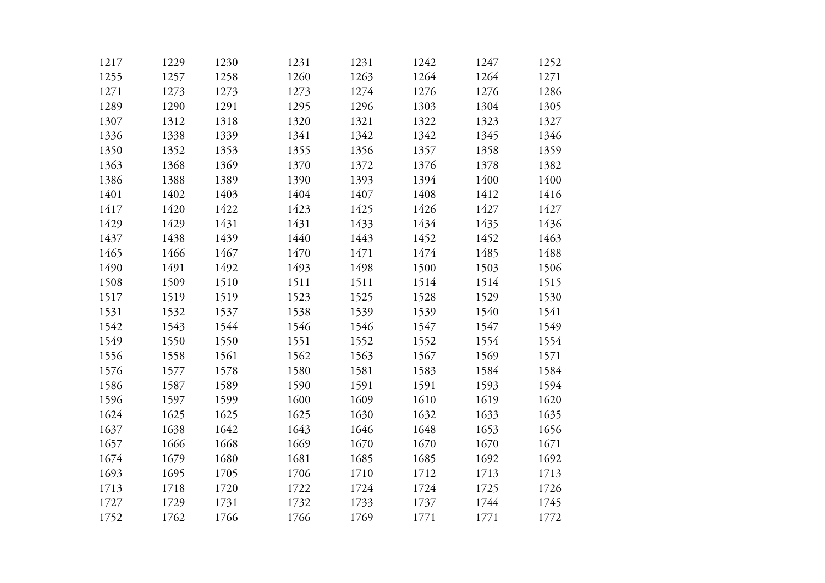| 1217 | 1229 | 1230 | 1231 | 1231 | 1242 | 1247 | 1252 |
|------|------|------|------|------|------|------|------|
| 1255 | 1257 | 1258 | 1260 | 1263 | 1264 | 1264 | 1271 |
| 1271 | 1273 | 1273 | 1273 | 1274 | 1276 | 1276 | 1286 |
| 1289 | 1290 | 1291 | 1295 | 1296 | 1303 | 1304 | 1305 |
| 1307 | 1312 | 1318 | 1320 | 1321 | 1322 | 1323 | 1327 |
| 1336 | 1338 | 1339 | 1341 | 1342 | 1342 | 1345 | 1346 |
| 1350 | 1352 | 1353 | 1355 | 1356 | 1357 | 1358 | 1359 |
| 1363 | 1368 | 1369 | 1370 | 1372 | 1376 | 1378 | 1382 |
| 1386 | 1388 | 1389 | 1390 | 1393 | 1394 | 1400 | 1400 |
| 1401 | 1402 | 1403 | 1404 | 1407 | 1408 | 1412 | 1416 |
| 1417 | 1420 | 1422 | 1423 | 1425 | 1426 | 1427 | 1427 |
| 1429 | 1429 | 1431 | 1431 | 1433 | 1434 | 1435 | 1436 |
| 1437 | 1438 | 1439 | 1440 | 1443 | 1452 | 1452 | 1463 |
| 1465 | 1466 | 1467 | 1470 | 1471 | 1474 | 1485 | 1488 |
| 1490 | 1491 | 1492 | 1493 | 1498 | 1500 | 1503 | 1506 |
| 1508 | 1509 | 1510 | 1511 | 1511 | 1514 | 1514 | 1515 |
| 1517 | 1519 | 1519 | 1523 | 1525 | 1528 | 1529 | 1530 |
| 1531 | 1532 | 1537 | 1538 | 1539 | 1539 | 1540 | 1541 |
| 1542 | 1543 | 1544 | 1546 | 1546 | 1547 | 1547 | 1549 |
| 1549 | 1550 | 1550 | 1551 | 1552 | 1552 | 1554 | 1554 |
| 1556 | 1558 | 1561 | 1562 | 1563 | 1567 | 1569 | 1571 |
| 1576 | 1577 | 1578 | 1580 | 1581 | 1583 | 1584 | 1584 |
| 1586 | 1587 | 1589 | 1590 | 1591 | 1591 | 1593 | 1594 |
| 1596 | 1597 | 1599 | 1600 | 1609 | 1610 | 1619 | 1620 |
| 1624 | 1625 | 1625 | 1625 | 1630 | 1632 | 1633 | 1635 |
| 1637 | 1638 | 1642 | 1643 | 1646 | 1648 | 1653 | 1656 |
| 1657 | 1666 | 1668 | 1669 | 1670 | 1670 | 1670 | 1671 |
| 1674 | 1679 | 1680 | 1681 | 1685 | 1685 | 1692 | 1692 |
| 1693 | 1695 | 1705 | 1706 | 1710 | 1712 | 1713 | 1713 |
| 1713 | 1718 | 1720 | 1722 | 1724 | 1724 | 1725 | 1726 |
| 1727 | 1729 | 1731 | 1732 | 1733 | 1737 | 1744 | 1745 |
| 1752 | 1762 | 1766 | 1766 | 1769 | 1771 | 1771 | 1772 |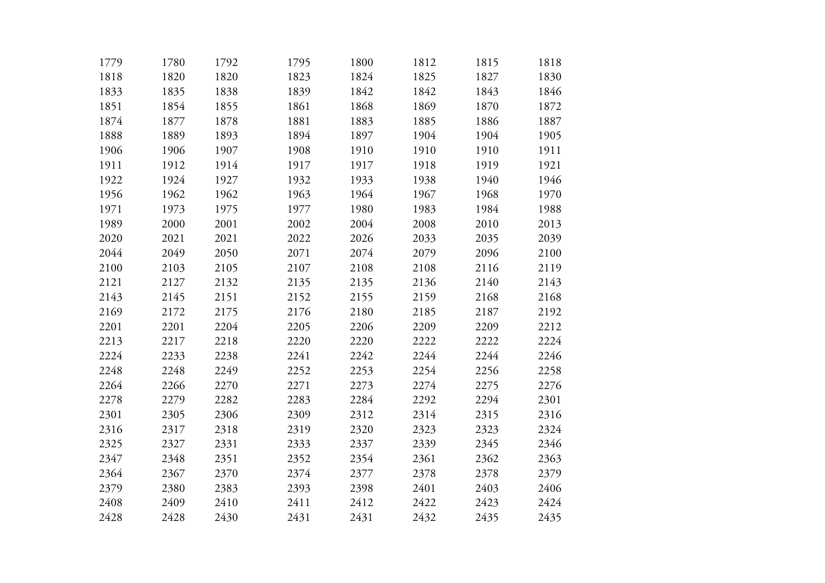| 1779 | 1780 | 1792 | 1795 | 1800 | 1812 | 1815 | 1818 |
|------|------|------|------|------|------|------|------|
| 1818 | 1820 | 1820 | 1823 | 1824 | 1825 | 1827 | 1830 |
| 1833 | 1835 | 1838 | 1839 | 1842 | 1842 | 1843 | 1846 |
| 1851 | 1854 | 1855 | 1861 | 1868 | 1869 | 1870 | 1872 |
| 1874 | 1877 | 1878 | 1881 | 1883 | 1885 | 1886 | 1887 |
| 1888 | 1889 | 1893 | 1894 | 1897 | 1904 | 1904 | 1905 |
| 1906 | 1906 | 1907 | 1908 | 1910 | 1910 | 1910 | 1911 |
| 1911 | 1912 | 1914 | 1917 | 1917 | 1918 | 1919 | 1921 |
| 1922 | 1924 | 1927 | 1932 | 1933 | 1938 | 1940 | 1946 |
| 1956 | 1962 | 1962 | 1963 | 1964 | 1967 | 1968 | 1970 |
| 1971 | 1973 | 1975 | 1977 | 1980 | 1983 | 1984 | 1988 |
| 1989 | 2000 | 2001 | 2002 | 2004 | 2008 | 2010 | 2013 |
| 2020 | 2021 | 2021 | 2022 | 2026 | 2033 | 2035 | 2039 |
| 2044 | 2049 | 2050 | 2071 | 2074 | 2079 | 2096 | 2100 |
| 2100 | 2103 | 2105 | 2107 | 2108 | 2108 | 2116 | 2119 |
| 2121 | 2127 | 2132 | 2135 | 2135 | 2136 | 2140 | 2143 |
| 2143 | 2145 | 2151 | 2152 | 2155 | 2159 | 2168 | 2168 |
| 2169 | 2172 | 2175 | 2176 | 2180 | 2185 | 2187 | 2192 |
| 2201 | 2201 | 2204 | 2205 | 2206 | 2209 | 2209 | 2212 |
| 2213 | 2217 | 2218 | 2220 | 2220 | 2222 | 2222 | 2224 |
| 2224 | 2233 | 2238 | 2241 | 2242 | 2244 | 2244 | 2246 |
| 2248 | 2248 | 2249 | 2252 | 2253 | 2254 | 2256 | 2258 |
| 2264 | 2266 | 2270 | 2271 | 2273 | 2274 | 2275 | 2276 |
| 2278 | 2279 | 2282 | 2283 | 2284 | 2292 | 2294 | 2301 |
| 2301 | 2305 | 2306 | 2309 | 2312 | 2314 | 2315 | 2316 |
| 2316 | 2317 | 2318 | 2319 | 2320 | 2323 | 2323 | 2324 |
| 2325 | 2327 | 2331 | 2333 | 2337 | 2339 | 2345 | 2346 |
| 2347 | 2348 | 2351 | 2352 | 2354 | 2361 | 2362 | 2363 |
| 2364 | 2367 | 2370 | 2374 | 2377 | 2378 | 2378 | 2379 |
| 2379 | 2380 | 2383 | 2393 | 2398 | 2401 | 2403 | 2406 |
| 2408 | 2409 | 2410 | 2411 | 2412 | 2422 | 2423 | 2424 |
| 2428 | 2428 | 2430 | 2431 | 2431 | 2432 | 2435 | 2435 |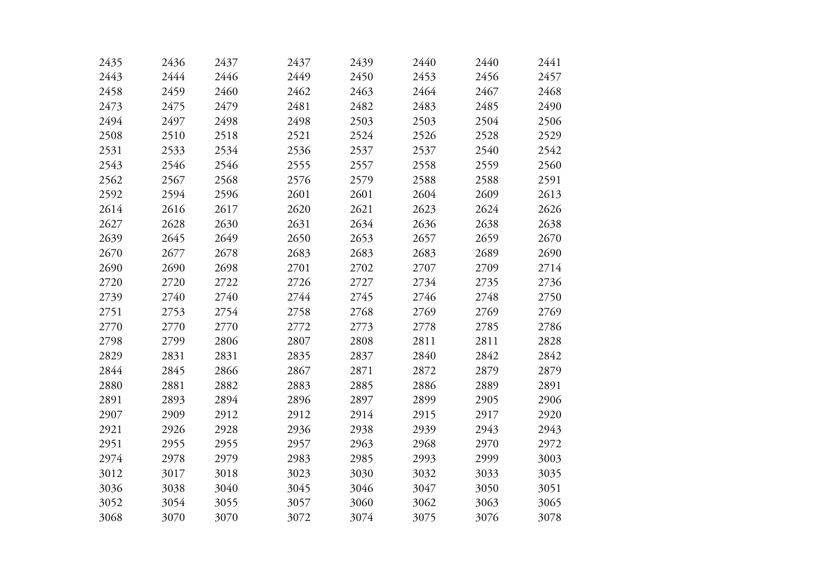| 2435 | 2436 | 2437 | 2437 | 2439 | 2440 | 2440 | 2441 |
|------|------|------|------|------|------|------|------|
| 2443 | 2444 | 2446 | 2449 | 2450 | 2453 | 2456 | 2457 |
| 2458 | 2459 | 2460 | 2462 | 2463 | 2464 | 2467 | 2468 |
| 2473 | 2475 | 2479 | 2481 | 2482 | 2483 | 2485 | 2490 |
| 2494 | 2497 | 2498 | 2498 | 2503 | 2503 | 2504 | 2506 |
| 2508 | 2510 | 2518 | 2521 | 2524 | 2526 | 2528 | 2529 |
| 2531 | 2533 | 2534 | 2536 | 2537 | 2537 | 2540 | 2542 |
| 2543 | 2546 | 2546 | 2555 | 2557 | 2558 | 2559 | 2560 |
| 2562 | 2567 | 2568 | 2576 | 2579 | 2588 | 2588 | 2591 |
| 2592 | 2594 | 2596 | 2601 | 2601 | 2604 | 2609 | 2613 |
| 2614 | 2616 | 2617 | 2620 | 2621 | 2623 | 2624 | 2626 |
| 2627 | 2628 | 2630 | 2631 | 2634 | 2636 | 2638 | 2638 |
| 2639 | 2645 | 2649 | 2650 | 2653 | 2657 | 2659 | 2670 |
| 2670 | 2677 | 2678 | 2683 | 2683 | 2683 | 2689 | 2690 |
| 2690 | 2690 | 2698 | 2701 | 2702 | 2707 | 2709 | 2714 |
| 2720 | 2720 | 2722 | 2726 | 2727 | 2734 | 2735 | 2736 |
| 2739 | 2740 | 2740 | 2744 | 2745 | 2746 | 2748 | 2750 |
| 2751 | 2753 | 2754 | 2758 | 2768 | 2769 | 2769 | 2769 |
| 2770 | 2770 | 2770 | 2772 | 2773 | 2778 | 2785 | 2786 |
| 2798 | 2799 | 2806 | 2807 | 2808 | 2811 | 2811 | 2828 |
| 2829 | 2831 | 2831 | 2835 | 2837 | 2840 | 2842 | 2842 |
| 2844 | 2845 | 2866 | 2867 | 2871 | 2872 | 2879 | 2879 |
| 2880 | 2881 | 2882 | 2883 | 2885 | 2886 | 2889 | 2891 |
| 2891 | 2893 | 2894 | 2896 | 2897 | 2899 | 2905 | 2906 |
| 2907 | 2909 | 2912 | 2912 | 2914 | 2915 | 2917 | 2920 |
| 2921 | 2926 | 2928 | 2936 | 2938 | 2939 | 2943 | 2943 |
| 2951 | 2955 | 2955 | 2957 | 2963 | 2968 | 2970 | 2972 |
| 2974 | 2978 | 2979 | 2983 | 2985 | 2993 | 2999 | 3003 |
| 3012 | 3017 | 3018 | 3023 | 3030 | 3032 | 3033 | 3035 |
| 3036 | 3038 | 3040 | 3045 | 3046 | 3047 | 3050 | 3051 |
| 3052 | 3054 | 3055 | 3057 | 3060 | 3062 | 3063 | 3065 |
| 3068 | 3070 | 3070 | 3072 | 3074 | 3075 | 3076 | 3078 |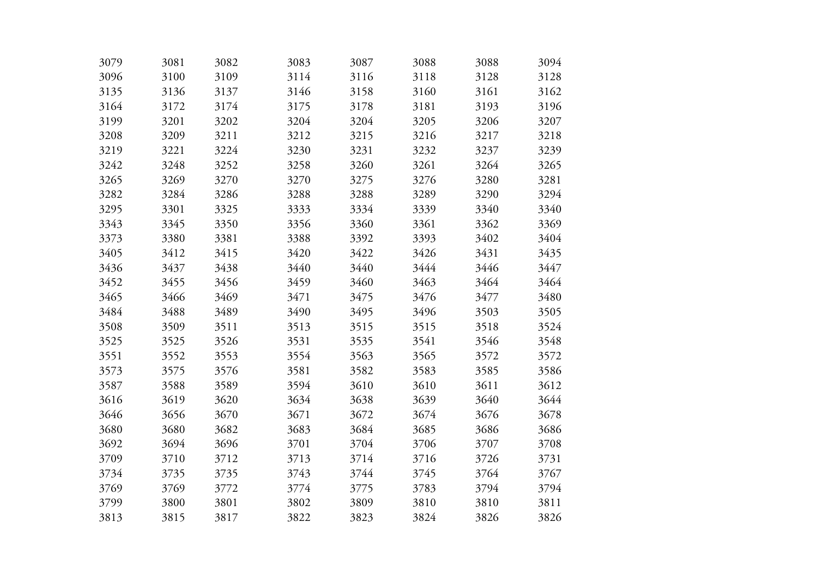| 3079 | 3081 | 3082 | 3083 | 3087 | 3088 | 3088 | 3094 |
|------|------|------|------|------|------|------|------|
| 3096 | 3100 | 3109 | 3114 | 3116 | 3118 | 3128 | 3128 |
| 3135 | 3136 | 3137 | 3146 | 3158 | 3160 | 3161 | 3162 |
| 3164 | 3172 | 3174 | 3175 | 3178 | 3181 | 3193 | 3196 |
| 3199 | 3201 | 3202 | 3204 | 3204 | 3205 | 3206 | 3207 |
| 3208 | 3209 | 3211 | 3212 | 3215 | 3216 | 3217 | 3218 |
| 3219 | 3221 | 3224 | 3230 | 3231 | 3232 | 3237 | 3239 |
| 3242 | 3248 | 3252 | 3258 | 3260 | 3261 | 3264 | 3265 |
| 3265 | 3269 | 3270 | 3270 | 3275 | 3276 | 3280 | 3281 |
| 3282 | 3284 | 3286 | 3288 | 3288 | 3289 | 3290 | 3294 |
| 3295 | 3301 | 3325 | 3333 | 3334 | 3339 | 3340 | 3340 |
| 3343 | 3345 | 3350 | 3356 | 3360 | 3361 | 3362 | 3369 |
| 3373 | 3380 | 3381 | 3388 | 3392 | 3393 | 3402 | 3404 |
| 3405 | 3412 | 3415 | 3420 | 3422 | 3426 | 3431 | 3435 |
| 3436 | 3437 | 3438 | 3440 | 3440 | 3444 | 3446 | 3447 |
| 3452 | 3455 | 3456 | 3459 | 3460 | 3463 | 3464 | 3464 |
| 3465 | 3466 | 3469 | 3471 | 3475 | 3476 | 3477 | 3480 |
| 3484 | 3488 | 3489 | 3490 | 3495 | 3496 | 3503 | 3505 |
| 3508 | 3509 | 3511 | 3513 | 3515 | 3515 | 3518 | 3524 |
| 3525 | 3525 | 3526 | 3531 | 3535 | 3541 | 3546 | 3548 |
| 3551 | 3552 | 3553 | 3554 | 3563 | 3565 | 3572 | 3572 |
| 3573 | 3575 | 3576 | 3581 | 3582 | 3583 | 3585 | 3586 |
| 3587 | 3588 | 3589 | 3594 | 3610 | 3610 | 3611 | 3612 |
| 3616 | 3619 | 3620 | 3634 | 3638 | 3639 | 3640 | 3644 |
| 3646 | 3656 | 3670 | 3671 | 3672 | 3674 | 3676 | 3678 |
| 3680 | 3680 | 3682 | 3683 | 3684 | 3685 | 3686 | 3686 |
| 3692 | 3694 | 3696 | 3701 | 3704 | 3706 | 3707 | 3708 |
| 3709 | 3710 | 3712 | 3713 | 3714 | 3716 | 3726 | 3731 |
| 3734 | 3735 | 3735 | 3743 | 3744 | 3745 | 3764 | 3767 |
| 3769 | 3769 | 3772 | 3774 | 3775 | 3783 | 3794 | 3794 |
| 3799 | 3800 | 3801 | 3802 | 3809 | 3810 | 3810 | 3811 |
| 3813 | 3815 | 3817 | 3822 | 3823 | 3824 | 3826 | 3826 |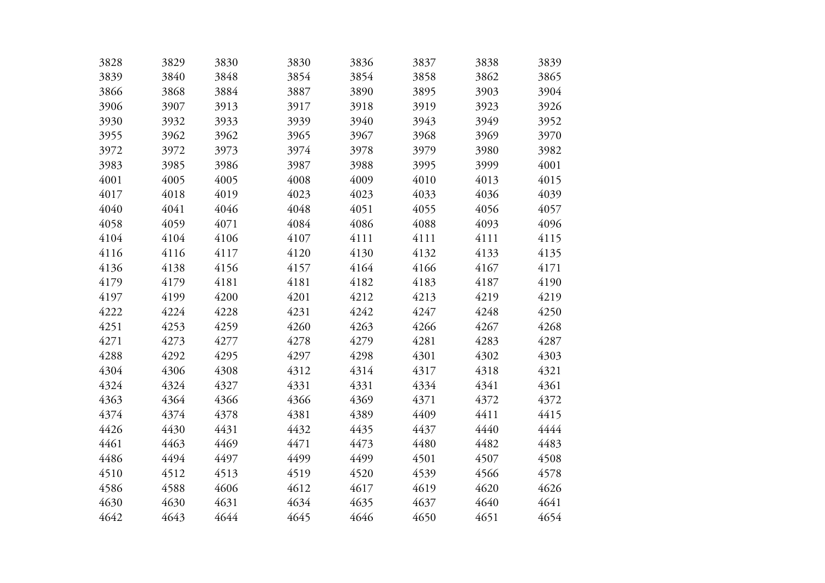| 3828 | 3829 | 3830 | 3830 | 3836 | 3837 | 3838 | 3839 |
|------|------|------|------|------|------|------|------|
| 3839 | 3840 | 3848 | 3854 | 3854 | 3858 | 3862 | 3865 |
| 3866 | 3868 | 3884 | 3887 | 3890 | 3895 | 3903 | 3904 |
| 3906 | 3907 | 3913 | 3917 | 3918 | 3919 | 3923 | 3926 |
| 3930 | 3932 | 3933 | 3939 | 3940 | 3943 | 3949 | 3952 |
| 3955 | 3962 | 3962 | 3965 | 3967 | 3968 | 3969 | 3970 |
| 3972 | 3972 | 3973 | 3974 | 3978 | 3979 | 3980 | 3982 |
| 3983 | 3985 | 3986 | 3987 | 3988 | 3995 | 3999 | 4001 |
| 4001 | 4005 | 4005 | 4008 | 4009 | 4010 | 4013 | 4015 |
| 4017 | 4018 | 4019 | 4023 | 4023 | 4033 | 4036 | 4039 |
| 4040 | 4041 | 4046 | 4048 | 4051 | 4055 | 4056 | 4057 |
| 4058 | 4059 | 4071 | 4084 | 4086 | 4088 | 4093 | 4096 |
| 4104 | 4104 | 4106 | 4107 | 4111 | 4111 | 4111 | 4115 |
| 4116 | 4116 | 4117 | 4120 | 4130 | 4132 | 4133 | 4135 |
| 4136 | 4138 | 4156 | 4157 | 4164 | 4166 | 4167 | 4171 |
| 4179 | 4179 | 4181 | 4181 | 4182 | 4183 | 4187 | 4190 |
| 4197 | 4199 | 4200 | 4201 | 4212 | 4213 | 4219 | 4219 |
| 4222 | 4224 | 4228 | 4231 | 4242 | 4247 | 4248 | 4250 |
| 4251 | 4253 | 4259 | 4260 | 4263 | 4266 | 4267 | 4268 |
| 4271 | 4273 | 4277 | 4278 | 4279 | 4281 | 4283 | 4287 |
| 4288 | 4292 | 4295 | 4297 | 4298 | 4301 | 4302 | 4303 |
| 4304 | 4306 | 4308 | 4312 | 4314 | 4317 | 4318 | 4321 |
| 4324 | 4324 | 4327 | 4331 | 4331 | 4334 | 4341 | 4361 |
| 4363 | 4364 | 4366 | 4366 | 4369 | 4371 | 4372 | 4372 |
| 4374 | 4374 | 4378 | 4381 | 4389 | 4409 | 4411 | 4415 |
| 4426 | 4430 | 4431 | 4432 | 4435 | 4437 | 4440 | 4444 |
| 4461 | 4463 | 4469 | 4471 | 4473 | 4480 | 4482 | 4483 |
| 4486 | 4494 | 4497 | 4499 | 4499 | 4501 | 4507 | 4508 |
| 4510 | 4512 | 4513 | 4519 | 4520 | 4539 | 4566 | 4578 |
| 4586 | 4588 | 4606 | 4612 | 4617 | 4619 | 4620 | 4626 |
| 4630 | 4630 | 4631 | 4634 | 4635 | 4637 | 4640 | 4641 |
| 4642 | 4643 | 4644 | 4645 | 4646 | 4650 | 4651 | 4654 |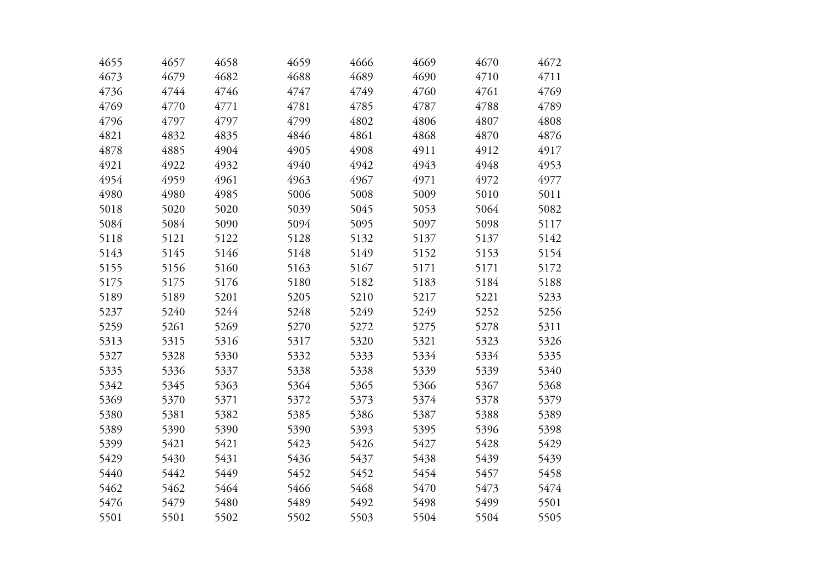| 4655 | 4657 | 4658 | 4659 | 4666 | 4669 | 4670 | 4672 |
|------|------|------|------|------|------|------|------|
| 4673 | 4679 | 4682 | 4688 | 4689 | 4690 | 4710 | 4711 |
| 4736 | 4744 | 4746 | 4747 | 4749 | 4760 | 4761 | 4769 |
| 4769 | 4770 | 4771 | 4781 | 4785 | 4787 | 4788 | 4789 |
| 4796 | 4797 | 4797 | 4799 | 4802 | 4806 | 4807 | 4808 |
| 4821 | 4832 | 4835 | 4846 | 4861 | 4868 | 4870 | 4876 |
| 4878 | 4885 | 4904 | 4905 | 4908 | 4911 | 4912 | 4917 |
| 4921 | 4922 | 4932 | 4940 | 4942 | 4943 | 4948 | 4953 |
| 4954 | 4959 | 4961 | 4963 | 4967 | 4971 | 4972 | 4977 |
| 4980 | 4980 | 4985 | 5006 | 5008 | 5009 | 5010 | 5011 |
| 5018 | 5020 | 5020 | 5039 | 5045 | 5053 | 5064 | 5082 |
| 5084 | 5084 | 5090 | 5094 | 5095 | 5097 | 5098 | 5117 |
| 5118 | 5121 | 5122 | 5128 | 5132 | 5137 | 5137 | 5142 |
| 5143 | 5145 | 5146 | 5148 | 5149 | 5152 | 5153 | 5154 |
| 5155 | 5156 | 5160 | 5163 | 5167 | 5171 | 5171 | 5172 |
| 5175 | 5175 | 5176 | 5180 | 5182 | 5183 | 5184 | 5188 |
| 5189 | 5189 | 5201 | 5205 | 5210 | 5217 | 5221 | 5233 |
| 5237 | 5240 | 5244 | 5248 | 5249 | 5249 | 5252 | 5256 |
| 5259 | 5261 | 5269 | 5270 | 5272 | 5275 | 5278 | 5311 |
| 5313 | 5315 | 5316 | 5317 | 5320 | 5321 | 5323 | 5326 |
| 5327 | 5328 | 5330 | 5332 | 5333 | 5334 | 5334 | 5335 |
| 5335 | 5336 | 5337 | 5338 | 5338 | 5339 | 5339 | 5340 |
| 5342 | 5345 | 5363 | 5364 | 5365 | 5366 | 5367 | 5368 |
| 5369 | 5370 | 5371 | 5372 | 5373 | 5374 | 5378 | 5379 |
| 5380 | 5381 | 5382 | 5385 | 5386 | 5387 | 5388 | 5389 |
| 5389 | 5390 | 5390 | 5390 | 5393 | 5395 | 5396 | 5398 |
| 5399 | 5421 | 5421 | 5423 | 5426 | 5427 | 5428 | 5429 |
| 5429 | 5430 | 5431 | 5436 | 5437 | 5438 | 5439 | 5439 |
| 5440 | 5442 | 5449 | 5452 | 5452 | 5454 | 5457 | 5458 |
| 5462 | 5462 | 5464 | 5466 | 5468 | 5470 | 5473 | 5474 |
| 5476 | 5479 | 5480 | 5489 | 5492 | 5498 | 5499 | 5501 |
| 5501 | 5501 | 5502 | 5502 | 5503 | 5504 | 5504 | 5505 |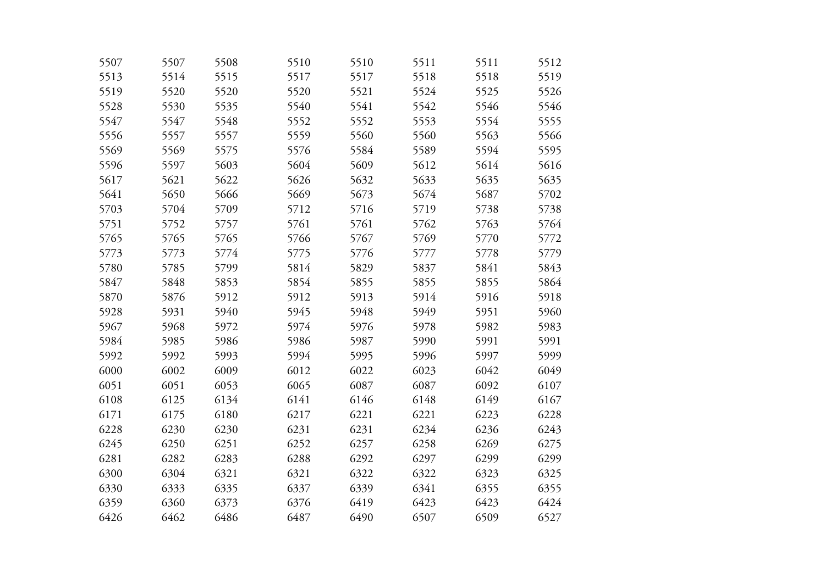| 5507 | 5507 | 5508 | 5510 | 5510 | 5511 | 5511 | 5512 |
|------|------|------|------|------|------|------|------|
| 5513 | 5514 | 5515 | 5517 | 5517 | 5518 | 5518 | 5519 |
| 5519 | 5520 | 5520 | 5520 | 5521 | 5524 | 5525 | 5526 |
| 5528 | 5530 | 5535 | 5540 | 5541 | 5542 | 5546 | 5546 |
| 5547 | 5547 | 5548 | 5552 | 5552 | 5553 | 5554 | 5555 |
| 5556 | 5557 | 5557 | 5559 | 5560 | 5560 | 5563 | 5566 |
| 5569 | 5569 | 5575 | 5576 | 5584 | 5589 | 5594 | 5595 |
| 5596 | 5597 | 5603 | 5604 | 5609 | 5612 | 5614 | 5616 |
| 5617 | 5621 | 5622 | 5626 | 5632 | 5633 | 5635 | 5635 |
| 5641 | 5650 | 5666 | 5669 | 5673 | 5674 | 5687 | 5702 |
| 5703 | 5704 | 5709 | 5712 | 5716 | 5719 | 5738 | 5738 |
| 5751 | 5752 | 5757 | 5761 | 5761 | 5762 | 5763 | 5764 |
| 5765 | 5765 | 5765 | 5766 | 5767 | 5769 | 5770 | 5772 |
| 5773 | 5773 | 5774 | 5775 | 5776 | 5777 | 5778 | 5779 |
| 5780 | 5785 | 5799 | 5814 | 5829 | 5837 | 5841 | 5843 |
| 5847 | 5848 | 5853 | 5854 | 5855 | 5855 | 5855 | 5864 |
| 5870 | 5876 | 5912 | 5912 | 5913 | 5914 | 5916 | 5918 |
| 5928 | 5931 | 5940 | 5945 | 5948 | 5949 | 5951 | 5960 |
| 5967 | 5968 | 5972 | 5974 | 5976 | 5978 | 5982 | 5983 |
| 5984 | 5985 | 5986 | 5986 | 5987 | 5990 | 5991 | 5991 |
| 5992 | 5992 | 5993 | 5994 | 5995 | 5996 | 5997 | 5999 |
| 6000 | 6002 | 6009 | 6012 | 6022 | 6023 | 6042 | 6049 |
| 6051 | 6051 | 6053 | 6065 | 6087 | 6087 | 6092 | 6107 |
| 6108 | 6125 | 6134 | 6141 | 6146 | 6148 | 6149 | 6167 |
| 6171 | 6175 | 6180 | 6217 | 6221 | 6221 | 6223 | 6228 |
| 6228 | 6230 | 6230 | 6231 | 6231 | 6234 | 6236 | 6243 |
| 6245 | 6250 | 6251 | 6252 | 6257 | 6258 | 6269 | 6275 |
| 6281 | 6282 | 6283 | 6288 | 6292 | 6297 | 6299 | 6299 |
| 6300 | 6304 | 6321 | 6321 | 6322 | 6322 | 6323 | 6325 |
| 6330 | 6333 | 6335 | 6337 | 6339 | 6341 | 6355 | 6355 |
| 6359 | 6360 | 6373 | 6376 | 6419 | 6423 | 6423 | 6424 |
| 6426 | 6462 | 6486 | 6487 | 6490 | 6507 | 6509 | 6527 |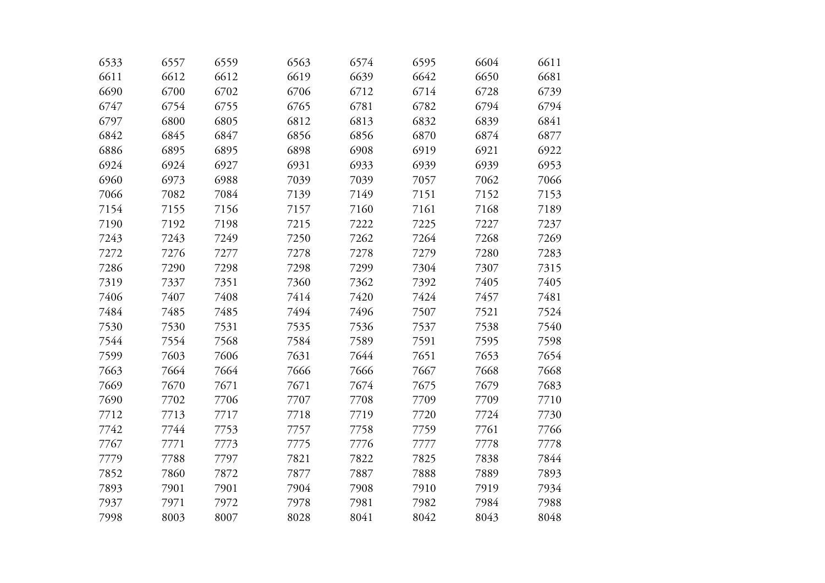| 6533 | 6557 | 6559 | 6563 | 6574 | 6595 | 6604 | 6611 |
|------|------|------|------|------|------|------|------|
| 6611 | 6612 | 6612 | 6619 | 6639 | 6642 | 6650 | 6681 |
| 6690 | 6700 | 6702 | 6706 | 6712 | 6714 | 6728 | 6739 |
| 6747 | 6754 | 6755 | 6765 | 6781 | 6782 | 6794 | 6794 |
| 6797 | 6800 | 6805 | 6812 | 6813 | 6832 | 6839 | 6841 |
| 6842 | 6845 | 6847 | 6856 | 6856 | 6870 | 6874 | 6877 |
| 6886 | 6895 | 6895 | 6898 | 6908 | 6919 | 6921 | 6922 |
| 6924 | 6924 | 6927 | 6931 | 6933 | 6939 | 6939 | 6953 |
| 6960 | 6973 | 6988 | 7039 | 7039 | 7057 | 7062 | 7066 |
| 7066 | 7082 | 7084 | 7139 | 7149 | 7151 | 7152 | 7153 |
| 7154 | 7155 | 7156 | 7157 | 7160 | 7161 | 7168 | 7189 |
| 7190 | 7192 | 7198 | 7215 | 7222 | 7225 | 7227 | 7237 |
| 7243 | 7243 | 7249 | 7250 | 7262 | 7264 | 7268 | 7269 |
| 7272 | 7276 | 7277 | 7278 | 7278 | 7279 | 7280 | 7283 |
| 7286 | 7290 | 7298 | 7298 | 7299 | 7304 | 7307 | 7315 |
| 7319 | 7337 | 7351 | 7360 | 7362 | 7392 | 7405 | 7405 |
| 7406 | 7407 | 7408 | 7414 | 7420 | 7424 | 7457 | 7481 |
| 7484 | 7485 | 7485 | 7494 | 7496 | 7507 | 7521 | 7524 |
| 7530 | 7530 | 7531 | 7535 | 7536 | 7537 | 7538 | 7540 |
| 7544 | 7554 | 7568 | 7584 | 7589 | 7591 | 7595 | 7598 |
| 7599 | 7603 | 7606 | 7631 | 7644 | 7651 | 7653 | 7654 |
| 7663 | 7664 | 7664 | 7666 | 7666 | 7667 | 7668 | 7668 |
| 7669 | 7670 | 7671 | 7671 | 7674 | 7675 | 7679 | 7683 |
| 7690 | 7702 | 7706 | 7707 | 7708 | 7709 | 7709 | 7710 |
| 7712 | 7713 | 7717 | 7718 | 7719 | 7720 | 7724 | 7730 |
| 7742 | 7744 | 7753 | 7757 | 7758 | 7759 | 7761 | 7766 |
| 7767 | 7771 | 7773 | 7775 | 7776 | 7777 | 7778 | 7778 |
| 7779 | 7788 | 7797 | 7821 | 7822 | 7825 | 7838 | 7844 |
| 7852 | 7860 | 7872 | 7877 | 7887 | 7888 | 7889 | 7893 |
| 7893 | 7901 | 7901 | 7904 | 7908 | 7910 | 7919 | 7934 |
| 7937 | 7971 | 7972 | 7978 | 7981 | 7982 | 7984 | 7988 |
| 7998 | 8003 | 8007 | 8028 | 8041 | 8042 | 8043 | 8048 |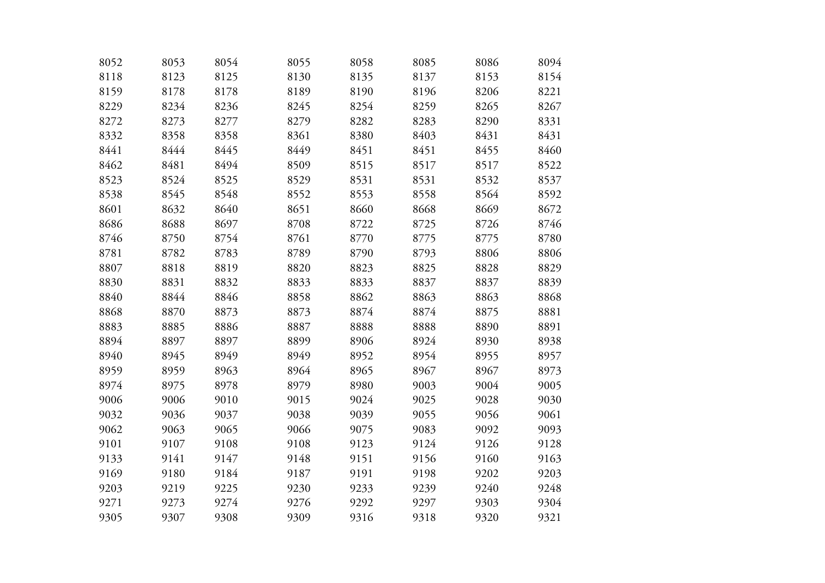| 8052 | 8053 | 8054 | 8055 | 8058 | 8085 | 8086 | 8094 |
|------|------|------|------|------|------|------|------|
| 8118 | 8123 | 8125 | 8130 | 8135 | 8137 | 8153 | 8154 |
| 8159 | 8178 | 8178 | 8189 | 8190 | 8196 | 8206 | 8221 |
| 8229 | 8234 | 8236 | 8245 | 8254 | 8259 | 8265 | 8267 |
| 8272 | 8273 | 8277 | 8279 | 8282 | 8283 | 8290 | 8331 |
| 8332 | 8358 | 8358 | 8361 | 8380 | 8403 | 8431 | 8431 |
| 8441 | 8444 | 8445 | 8449 | 8451 | 8451 | 8455 | 8460 |
| 8462 | 8481 | 8494 | 8509 | 8515 | 8517 | 8517 | 8522 |
| 8523 | 8524 | 8525 | 8529 | 8531 | 8531 | 8532 | 8537 |
| 8538 | 8545 | 8548 | 8552 | 8553 | 8558 | 8564 | 8592 |
| 8601 | 8632 | 8640 | 8651 | 8660 | 8668 | 8669 | 8672 |
| 8686 | 8688 | 8697 | 8708 | 8722 | 8725 | 8726 | 8746 |
| 8746 | 8750 | 8754 | 8761 | 8770 | 8775 | 8775 | 8780 |
| 8781 | 8782 | 8783 | 8789 | 8790 | 8793 | 8806 | 8806 |
| 8807 | 8818 | 8819 | 8820 | 8823 | 8825 | 8828 | 8829 |
| 8830 | 8831 | 8832 | 8833 | 8833 | 8837 | 8837 | 8839 |
| 8840 | 8844 | 8846 | 8858 | 8862 | 8863 | 8863 | 8868 |
| 8868 | 8870 | 8873 | 8873 | 8874 | 8874 | 8875 | 8881 |
| 8883 | 8885 | 8886 | 8887 | 8888 | 8888 | 8890 | 8891 |
| 8894 | 8897 | 8897 | 8899 | 8906 | 8924 | 8930 | 8938 |
| 8940 | 8945 | 8949 | 8949 | 8952 | 8954 | 8955 | 8957 |
| 8959 | 8959 | 8963 | 8964 | 8965 | 8967 | 8967 | 8973 |
| 8974 | 8975 | 8978 | 8979 | 8980 | 9003 | 9004 | 9005 |
| 9006 | 9006 | 9010 | 9015 | 9024 | 9025 | 9028 | 9030 |
| 9032 | 9036 | 9037 | 9038 | 9039 | 9055 | 9056 | 9061 |
| 9062 | 9063 | 9065 | 9066 | 9075 | 9083 | 9092 | 9093 |
| 9101 | 9107 | 9108 | 9108 | 9123 | 9124 | 9126 | 9128 |
| 9133 | 9141 | 9147 | 9148 | 9151 | 9156 | 9160 | 9163 |
| 9169 | 9180 | 9184 | 9187 | 9191 | 9198 | 9202 | 9203 |
| 9203 | 9219 | 9225 | 9230 | 9233 | 9239 | 9240 | 9248 |
| 9271 | 9273 | 9274 | 9276 | 9292 | 9297 | 9303 | 9304 |
| 9305 | 9307 | 9308 | 9309 | 9316 | 9318 | 9320 | 9321 |